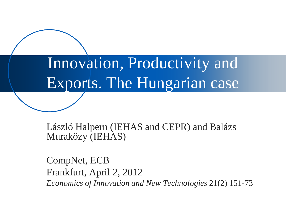Innovation, Productivity and Exports. The Hungarian case

László Halpern (IEHAS and CEPR) and Balázs Muraközy (IEHAS)

CompNet, ECB Frankfurt, April 2, 2012 *Economics of Innovation and New Technologies* 21(2) 151-73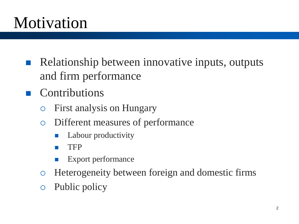## Motivation

- Relationship between innovative inputs, outputs and firm performance
- **Contributions** 
	- First analysis on Hungary
	- Different measures of performance
		- Labour productivity
		- **TFP**
		- Export performance
	- Heterogeneity between foreign and domestic firms
	- Public policy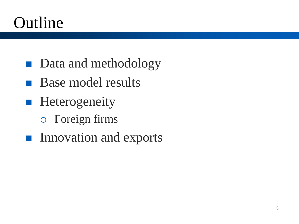## Outline

- Data and methodology
- **Base model results**
- **Heterogeneity** 
	- Foreign firms
- **Innovation and exports**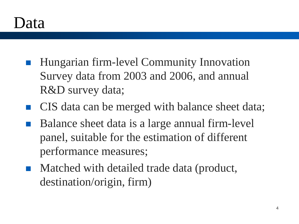### Data

- Hungarian firm-level Community Innovation Survey data from 2003 and 2006, and annual R&D survey data;
- CIS data can be merged with balance sheet data;
- Balance sheet data is a large annual firm-level panel, suitable for the estimation of different performance measures;
- Matched with detailed trade data (product, destination/origin, firm)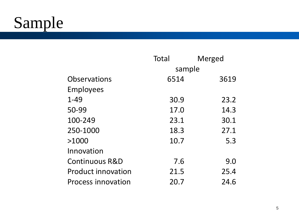# Sample

|                           | Total  | Merged |
|---------------------------|--------|--------|
|                           | sample |        |
| Observations              | 6514   | 3619   |
| Employees                 |        |        |
| $1 - 49$                  | 30.9   | 23.2   |
| 50-99                     | 17.0   | 14.3   |
| 100-249                   | 23.1   | 30.1   |
| 250-1000                  | 18.3   | 27.1   |
| >1000                     | 10.7   | 5.3    |
| Innovation                |        |        |
| <b>Continuous R&amp;D</b> | 7.6    | 9.0    |
| <b>Product innovation</b> | 21.5   | 25.4   |
| Process innovation        | 20.7   | 24.6   |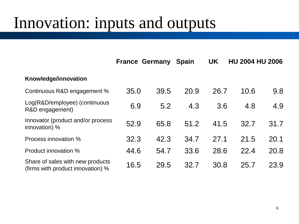### Innovation: inputs and outputs

|                                                                       |      | <b>France Germany</b> | <b>Spain</b> | <b>UK</b> |      | <b>HU 2004 HU 2006</b> |
|-----------------------------------------------------------------------|------|-----------------------|--------------|-----------|------|------------------------|
| Knowledge/innovation                                                  |      |                       |              |           |      |                        |
| Continuous R&D engagement %                                           | 35.0 | 39.5                  | 20.9         | 26.7      | 10.6 | 9.8                    |
| Log(R&D/employee) (continuous<br>R&D engagement)                      | 6.9  | 5.2                   | 4.3          | 3.6       | 4.8  | 4.9                    |
| Innovator (product and/or process<br>innovation) %                    | 52.9 | 65.8                  | 51.2         | 41.5      | 32.7 | 31.7                   |
| Process innovation %                                                  | 32.3 | 42.3                  | 34.7         | 27.1      | 21.5 | 20.1                   |
| Product innovation %                                                  | 44.6 | 54.7                  | 33.6         | 28.6      | 22.4 | 20.8                   |
| Share of sales with new products<br>(firms with product innovation) % | 16.5 | 29.5                  | 32.7         | 30.8      | 25.7 | 23.9                   |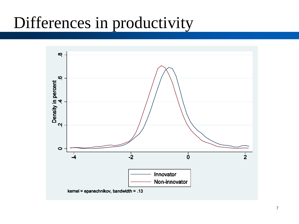### Differences in productivity

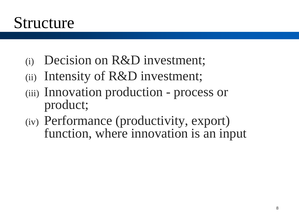### Structure

- (i) Decision on R&D investment;
- (ii) Intensity of R&D investment;
- (iii) Innovation production process or product;
- (iv) Performance (productivity, export) function, where innovation is an input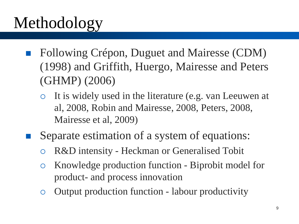# Methodology

- Following Crépon, Duguet and Mairesse (CDM) (1998) and Griffith, Huergo, Mairesse and Peters (GHMP) (2006)
	- It is widely used in the literature (e.g. van Leeuwen at al, 2008, Robin and Mairesse, 2008, Peters, 2008, Mairesse et al, 2009)
- Separate estimation of a system of equations:
	- R&D intensity Heckman or Generalised Tobit
	- Knowledge production function Biprobit model for product- and process innovation
	- Output production function labour productivity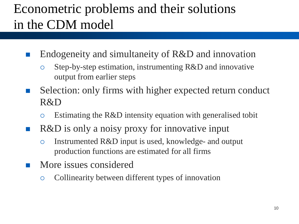### Econometric problems and their solutions in the CDM model

- Endogeneity and simultaneity of R&D and innovation
	- Step-by-step estimation, instrumenting R&D and innovative output from earlier steps
- Selection: only firms with higher expected return conduct R&D
	- Estimating the R&D intensity equation with generalised tobit
- R&D is only a noisy proxy for innovative input
	- Instrumented R&D input is used, knowledge- and output production functions are estimated for all firms
- **More** issues considered
	- Collinearity between different types of innovation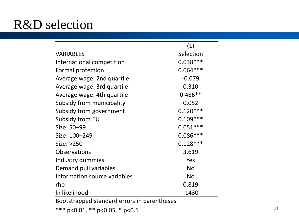### R&D selection

|                                             | (1)        |
|---------------------------------------------|------------|
| <b>VARIABLES</b>                            | Selection  |
| International competition                   | $0.038***$ |
| Formal protection                           | $0.064***$ |
| Average wage: 2nd quartile                  | $-0.079$   |
| Average wage: 3rd quartile                  | 0.310      |
| Average wage: 4th quartile                  | $0.486**$  |
| Subsidy from municipality                   | 0.052      |
| Subsidy from government                     | $0.120***$ |
| Subsidy from EU                             | $0.109***$ |
| Size: 50-99                                 | $0.051***$ |
| Size: 100-249                               | $0.086***$ |
| Size: >250                                  | $0.128***$ |
| <b>Observations</b>                         | 3,619      |
| Industry dummies                            | Yes        |
| Demand pull variables                       | <b>No</b>  |
| Information source variables                | <b>No</b>  |
| rho                                         | 0.819      |
| In likelihood                               | $-1430$    |
| Bootstrapped standard errors in parentheses |            |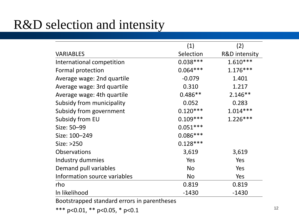### R&D selection and intensity

|                                             | (1)        | (2)                      |
|---------------------------------------------|------------|--------------------------|
| <b>VARIABLES</b>                            | Selection  | <b>R&amp;D</b> intensity |
| International competition                   | $0.038***$ | $1.610***$               |
| Formal protection                           | $0.064***$ | $1.176***$               |
| Average wage: 2nd quartile                  | $-0.079$   | 1.401                    |
| Average wage: 3rd quartile                  | 0.310      | 1.217                    |
| Average wage: 4th quartile                  | $0.486**$  | $2.146**$                |
| Subsidy from municipality                   | 0.052      | 0.283                    |
| Subsidy from government                     | $0.120***$ | $1.014***$               |
| Subsidy from EU                             | $0.109***$ | $1.226***$               |
| Size: 50-99                                 | $0.051***$ |                          |
| Size: 100-249                               | $0.086***$ |                          |
| Size: >250                                  | $0.128***$ |                          |
| <b>Observations</b>                         | 3,619      | 3,619                    |
| Industry dummies                            | Yes        | Yes                      |
| Demand pull variables                       | <b>No</b>  | Yes                      |
| Information source variables                | <b>No</b>  | Yes                      |
| rho                                         | 0.819      | 0.819                    |
| In likelihood                               | $-1430$    | $-1430$                  |
| Rootstronped standard errors in parentheses |            |                          |

Bootstrapped standard errors in parentheses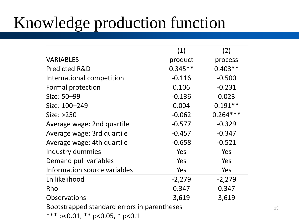# Knowledge production function

|                                             | (1)       | (2)        |
|---------------------------------------------|-----------|------------|
| <b>VARIABLES</b>                            | product   | process    |
| <b>Predicted R&amp;D</b>                    | $0.345**$ | $0.403**$  |
| International competition                   | $-0.116$  | $-0.500$   |
| Formal protection                           | 0.106     | $-0.231$   |
| Size: 50-99                                 | $-0.136$  | 0.023      |
| Size: 100-249                               | 0.004     | $0.191**$  |
| Size: >250                                  | $-0.062$  | $0.264***$ |
| Average wage: 2nd quartile                  | $-0.577$  | $-0.329$   |
| Average wage: 3rd quartile                  | $-0.457$  | $-0.347$   |
| Average wage: 4th quartile                  | $-0.658$  | $-0.521$   |
| Industry dummies                            | Yes       | Yes        |
| Demand pull variables                       | Yes       | Yes        |
| Information source variables                | Yes       | Yes        |
| Ln likelihood                               | $-2,279$  | $-2,279$   |
| Rho                                         | 0.347     | 0.347      |
| <b>Observations</b>                         | 3,619     | 3,619      |
| Bootstrapped standard errors in parentheses |           |            |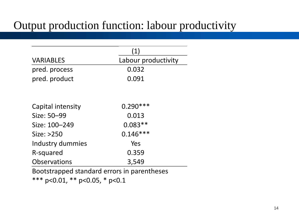#### Output production function: labour productivity

|                                             | (1)                 |
|---------------------------------------------|---------------------|
| <b>VARIABLES</b>                            | Labour productivity |
| pred. process                               | 0.032               |
| pred. product                               | 0.091               |
|                                             |                     |
| Capital intensity                           | $0.290***$          |
| Size: 50-99                                 | 0.013               |
| Size: 100-249                               | $0.083**$           |
| Size: >250                                  | $0.146***$          |
| Industry dummies                            | Yes                 |
| R-squared                                   | 0.359               |
| <b>Observations</b>                         | 3,549               |
| Bootstrapped standard errors in parentheses |                     |
| ***0.04 **0.05 *0.4                         |                     |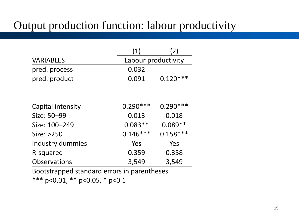#### Output production function: labour productivity

|                                             | (1)                 | (2)        |  |  |
|---------------------------------------------|---------------------|------------|--|--|
| <b>VARIABLES</b>                            | Labour productivity |            |  |  |
| pred. process                               | 0.032               |            |  |  |
| pred. product                               | 0.091               | $0.120***$ |  |  |
|                                             |                     |            |  |  |
| Capital intensity                           | $0.290***$          | $0.290***$ |  |  |
| Size: 50-99                                 | 0.013               | 0.018      |  |  |
| Size: 100-249                               | $0.083**$           | $0.089**$  |  |  |
| Size: >250                                  | $0.146***$          | $0.158***$ |  |  |
| Industry dummies                            | Yes                 | Yes        |  |  |
| R-squared                                   | 0.359               | 0.358      |  |  |
| <b>Observations</b>                         | 3,549               | 3,549      |  |  |
| Bootstrapped standard errors in parentheses |                     |            |  |  |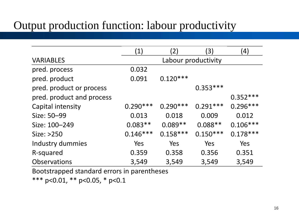#### Output production function: labour productivity

| (1)        | (2)        | $\left(3\right)$ | $\left( 4\right)$   |
|------------|------------|------------------|---------------------|
|            |            |                  |                     |
| 0.032      |            |                  |                     |
| 0.091      | $0.120***$ |                  |                     |
|            |            | $0.353***$       |                     |
|            |            |                  | $0.352***$          |
| $0.290***$ | $0.290***$ | $0.291***$       | $0.296***$          |
| 0.013      | 0.018      | 0.009            | 0.012               |
| $0.083**$  | $0.089**$  | $0.088**$        | $0.106***$          |
| $0.146***$ | $0.158***$ | $0.150***$       | $0.178***$          |
| Yes        | Yes        | Yes              | Yes                 |
| 0.359      | 0.358      | 0.356            | 0.351               |
| 3,549      | 3,549      | 3,549            | 3,549               |
|            |            |                  | Labour productivity |

Bootstrapped standard errors in parentheses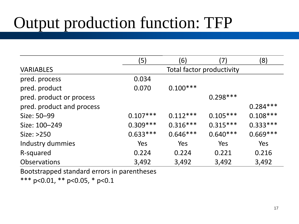## Output production function: TFP

|                           | (5)                       | (6)        |            | (8)        |  |
|---------------------------|---------------------------|------------|------------|------------|--|
| <b>VARIABLES</b>          | Total factor productivity |            |            |            |  |
| pred. process             | 0.034                     |            |            |            |  |
| pred. product             | 0.070                     | $0.100***$ |            |            |  |
| pred. product or process  |                           |            | $0.298***$ |            |  |
| pred. product and process |                           |            |            | $0.284***$ |  |
| Size: 50-99               | $0.107***$                | $0.112***$ | $0.105***$ | $0.108***$ |  |
| Size: 100-249             | $0.309***$                | $0.316***$ | $0.315***$ | $0.333***$ |  |
| Size: >250                | $0.633***$                | $0.646***$ | $0.640***$ | $0.669***$ |  |
| Industry dummies          | <b>Yes</b>                | Yes        | Yes        | Yes        |  |
| R-squared                 | 0.224                     | 0.224      | 0.221      | 0.216      |  |
| <b>Observations</b>       | 3,492                     | 3,492      | 3,492      | 3,492      |  |

Bootstrapped standard errors in parentheses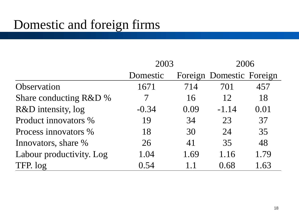### Domestic and foreign firms

|                          | 2003     |      | 2006                     |      |
|--------------------------|----------|------|--------------------------|------|
|                          | Domestic |      | Foreign Domestic Foreign |      |
| Observation              | 1671     | 714  | 701                      | 457  |
| Share conducting R&D %   |          | 16   | 12                       | 18   |
| R&D intensity, log       | $-0.34$  | 0.09 | $-1.14$                  | 0.01 |
| Product innovators %     | 19       | 34   | 23                       | 37   |
| Process innovators %     | 18       | 30   | 24                       | 35   |
| Innovators, share %      | 26       | 41   | 35                       | 48   |
| Labour productivity. Log | 1.04     | 1.69 | 1.16                     | 1.79 |
| TFP. log                 | 0.54     | 1.1  | 0.68                     | 1.63 |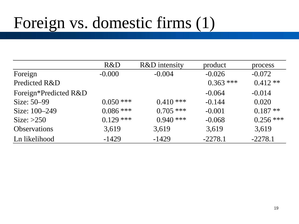## Foreign vs. domestic firms (1)

|                       | R&D         | R&D intensity | product     | process     |
|-----------------------|-------------|---------------|-------------|-------------|
| Foreign               | $-0.000$    | $-0.004$      | $-0.026$    | $-0.072$    |
| Predicted R&D         |             |               | $0.363$ *** | $0.412**$   |
| Foreign*Predicted R&D |             |               | $-0.064$    | $-0.014$    |
| Size: 50–99           | $0.050$ *** | $0.410***$    | $-0.144$    | 0.020       |
| Size: 100-249         | $0.086$ *** | $0.705$ ***   | $-0.001$    | $0.187**$   |
| Size: $>250$          | $0.129$ *** | $0.940$ ***   | $-0.068$    | $0.256$ *** |
| <b>Observations</b>   | 3,619       | 3,619         | 3,619       | 3,619       |
| Ln likelihood         | $-1429$     | $-1429$       | $-2278.1$   | $-2278.1$   |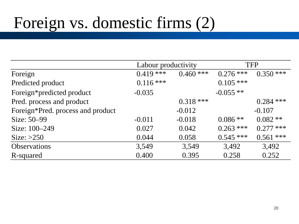## Foreign vs. domestic firms (2)

|                                   | Labour productivity |             |             | <b>TFP</b>  |
|-----------------------------------|---------------------|-------------|-------------|-------------|
| Foreign                           | $0.419***$          | $0.460$ *** | $0.276$ *** | $0.350$ *** |
| Predicted product                 | $0.116$ ***         |             | $0.105$ *** |             |
| Foreign*predicted product         | $-0.035$            |             | $-0.055**$  |             |
| Pred. process and product         |                     | $0.318$ *** |             | $0.284$ *** |
| Foreign*Pred. process and product |                     | $-0.012$    |             | $-0.107$    |
| Size: 50–99                       | $-0.011$            | $-0.018$    | $0.086**$   | $0.082**$   |
| Size: 100–249                     | 0.027               | 0.042       | $0.263$ *** | $0.277$ *** |
| Size: $>250$                      | 0.044               | 0.058       | $0.545***$  | $0.561$ *** |
| <b>Observations</b>               | 3,549               | 3,549       | 3,492       | 3,492       |
| R-squared                         | 0.400               | 0.395       | 0.258       | 0.252       |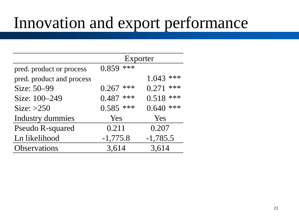### Innovation and export performance

|                           | Exporter    |              |  |
|---------------------------|-------------|--------------|--|
| pred. product or process  | $0.859$ *** |              |  |
| pred. product and process |             | ***<br>1.043 |  |
| Size: 50-99               | $0.267$ *** | 0.271<br>*** |  |
| Size: 100-249             | $0.487$ *** | 0.518<br>*** |  |
| Size: $>250$              | $0.585$ *** | ***<br>0.640 |  |
| Industry dummies          | Yes         | Yes          |  |
| <b>Pseudo R-squared</b>   | 0.211       | 0.207        |  |
| Ln likelihood             | $-1,775.8$  | $-1,785.5$   |  |
| <b>Observations</b>       | 3,614       | 3,614        |  |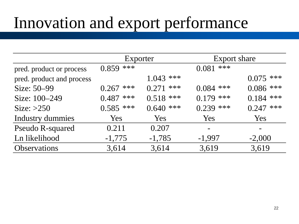### Innovation and export performance

|                           | Exporter    |              | Export share |                |
|---------------------------|-------------|--------------|--------------|----------------|
| pred. product or process  | $0.859$ *** |              | ***<br>0.081 |                |
| pred. product and process |             | ***<br>1.043 |              | ***<br>0.075   |
| Size: 50-99               | $0.267$ *** | ***<br>0.271 | $0.084$ ***  | $0.086$ ***    |
| Size: 100-249             | $0.487$ *** | $0.518$ ***  | ***<br>0.179 | $0.184$ ***    |
| Size: $>250$              | $0.585$ *** | ***<br>0.640 | ***<br>0.239 | ***<br>0.247   |
| <b>Industry dummies</b>   | Yes         | Yes          | <b>Yes</b>   | Yes            |
| <b>Pseudo R-squared</b>   | 0.211       | 0.207        | $\equiv$     | $\blacksquare$ |
| Ln likelihood             | $-1,775$    | $-1,785$     | $-1,997$     | $-2,000$       |
| Observations              | 3,614       | 3,614        | 3,619        | 3,619          |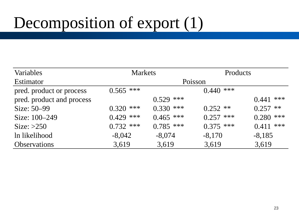# Decomposition of export (1)

| Variables                 | <b>Markets</b> |             | Products    |               |
|---------------------------|----------------|-------------|-------------|---------------|
| <b>Estimator</b>          | Poisson        |             |             |               |
| pred. product or process  | $0.565$ ***    |             | $0.440$ *** |               |
| pred. product and process |                | $0.529$ *** |             | ***<br>0.441  |
| Size: 50–99               | ***<br>0.320   | $0.330$ *** | $0.252$ **  | $**$<br>0.257 |
| Size: 100–249             | $0.429$ ***    | $0.465$ *** | $0.257$ *** | $0.280$ ***   |
| Size: $>250$              | $0.732$ ***    | $0.785$ *** | $0.375$ *** | $0.411$ ***   |
| In likelihood             | $-8,042$       | $-8,074$    | $-8,170$    | $-8,185$      |
| <b>Observations</b>       | 3,619          | 3,619       | 3,619       | 3,619         |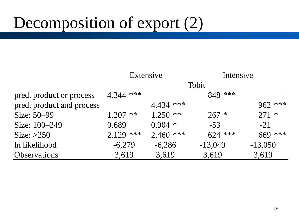# Decomposition of export (2)

|                           | Extensive     |             | Intensive |           |  |
|---------------------------|---------------|-------------|-----------|-----------|--|
|                           |               | Tobit       |           |           |  |
| pred. product or process  | $4.344$ ***   |             | 848 ***   |           |  |
| pred. product and process |               | $4.434$ *** |           | $962$ *** |  |
| Size: 50–99               | $**$<br>1.207 | $1.250$ **  | $267 *$   | $271 *$   |  |
| Size: 100–249             | 0.689         | $0.904$ *   | $-53$     | $-21$     |  |
| Size: $>250$              | $2.129$ ***   | $2.460$ *** | $624$ *** | $669$ *** |  |
| In likelihood             | $-6,279$      | $-6,286$    | $-13,049$ | $-13,050$ |  |
| <b>Observations</b>       | 3,619         | 3,619       | 3,619     | 3,619     |  |